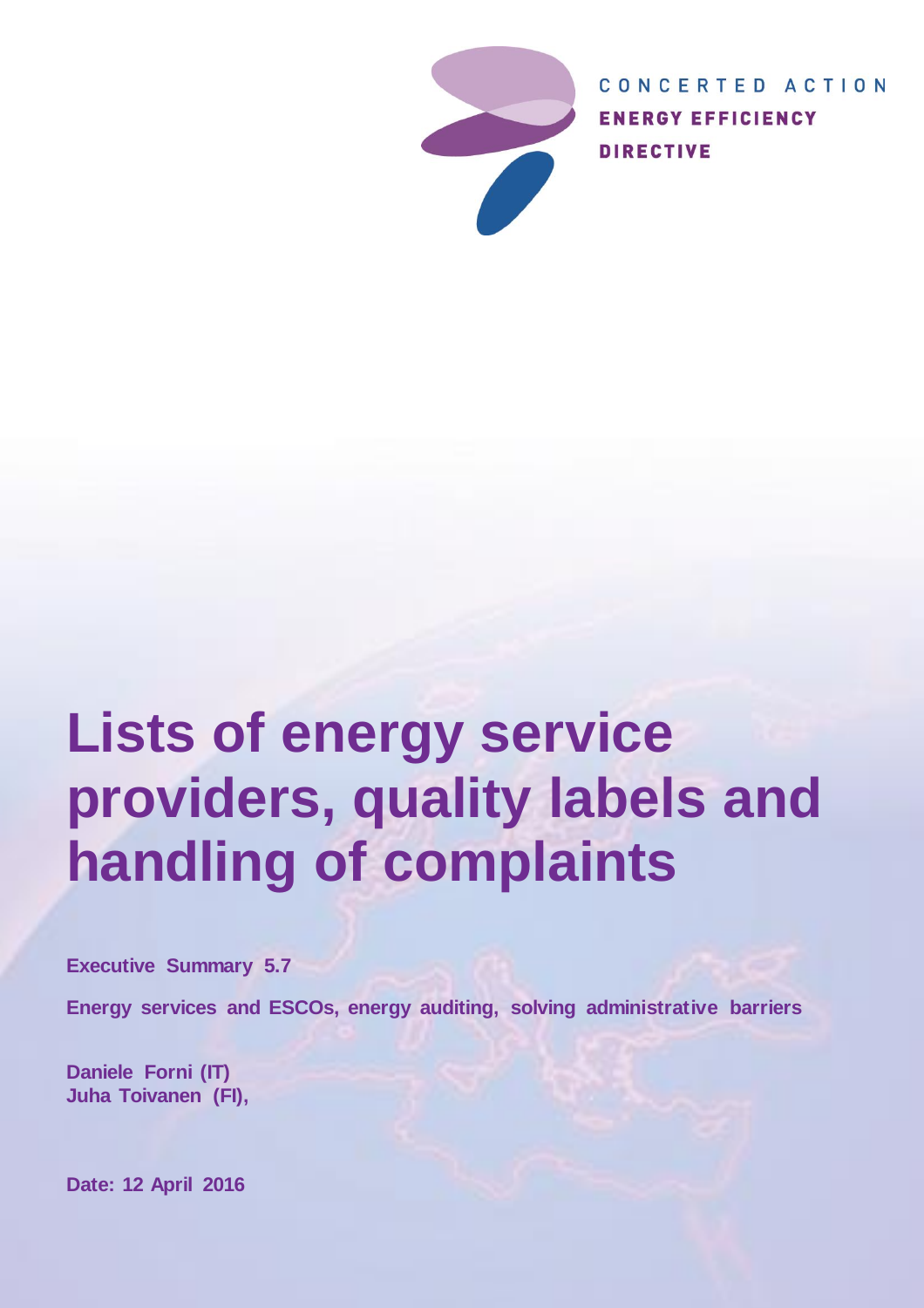

CONCERTED ACTION **ENERGY EFFICIENCY DIRECTIVE** 

# **Lists of energy service providers, quality labels and handling of complaints**

**Executive Summary 5.7**

**Energy services and ESCOs, energy auditing, solving administrative barriers**

**Daniele Forni (IT) Juha Toivanen (FI),**

**Date: 12 April 2016**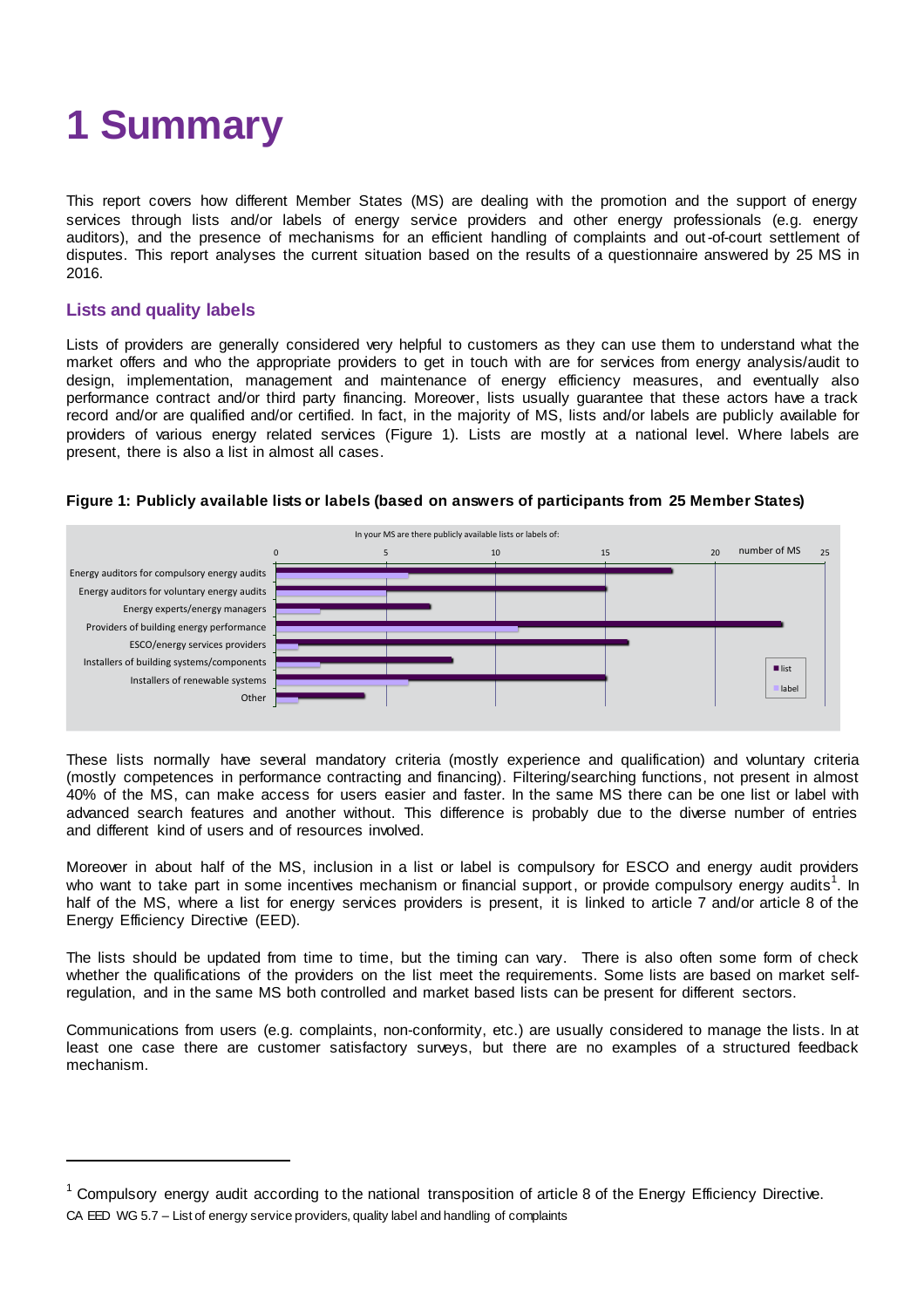

This report covers how different Member States (MS) are dealing with the promotion and the support of energy services through lists and/or labels of energy service providers and other energy professionals (e.g. energy auditors), and the presence of mechanisms for an efficient handling of complaints and out-of-court settlement of disputes. This report analyses the current situation based on the results of a questionnaire answered by 25 MS in 2016.

#### **Lists and quality labels**

Lists of providers are generally considered very helpful to customers as they can use them to understand what the market offers and who the appropriate providers to get in touch with are for services from energy analysis/audit to design, implementation, management and maintenance of energy efficiency measures, and eventually also performance contract and/or third party financing. Moreover, lists usually guarantee that these actors have a track record and/or are qualified and/or certified. In fact, in the majority of MS, lists and/or labels are publicly available for providers of various energy related services ([Figure 1\).](#page-1-0) Lists are mostly at a national level. Where labels are present, there is also a list in almost all cases.



#### <span id="page-1-0"></span>**Figure 1: Publicly available lists or labels (based on answers of participants from 25 Member States)**

These lists normally have several mandatory criteria (mostly experience and qualification) and voluntary criteria (mostly competences in performance contracting and financing). Filtering/searching functions, not present in almost 40% of the MS, can make access for users easier and faster. In the same MS there can be one list or label with advanced search features and another without. This difference is probably due to the diverse number of entries and different kind of users and of resources involved.

Moreover in about half of the MS, inclusion in a list or label is compulsory for ESCO and energy audit providers who want to take part in some incentives mechanism or financial support, or provide compulsory energy audits<sup>1</sup>. In half of the MS, where a list for energy services providers is present, it is linked to article 7 and/or article 8 of the Energy Efficiency Directive (EED).

The lists should be updated from time to time, but the timing can vary. There is also often some form of check whether the qualifications of the providers on the list meet the requirements. Some lists are based on market selfregulation, and in the same MS both controlled and market based lists can be present for different sectors.

Communications from users (e.g. complaints, non-conformity, etc.) are usually considered to manage the lists. In at least one case there are customer satisfactory surveys, but there are no examples of a structured feedback mechanism.

CA EED WG 5.7 – List of energy service providers, quality label and handling of complaints  $1$  Compulsory energy audit according to the national transposition of article 8 of the Energy Efficiency Directive.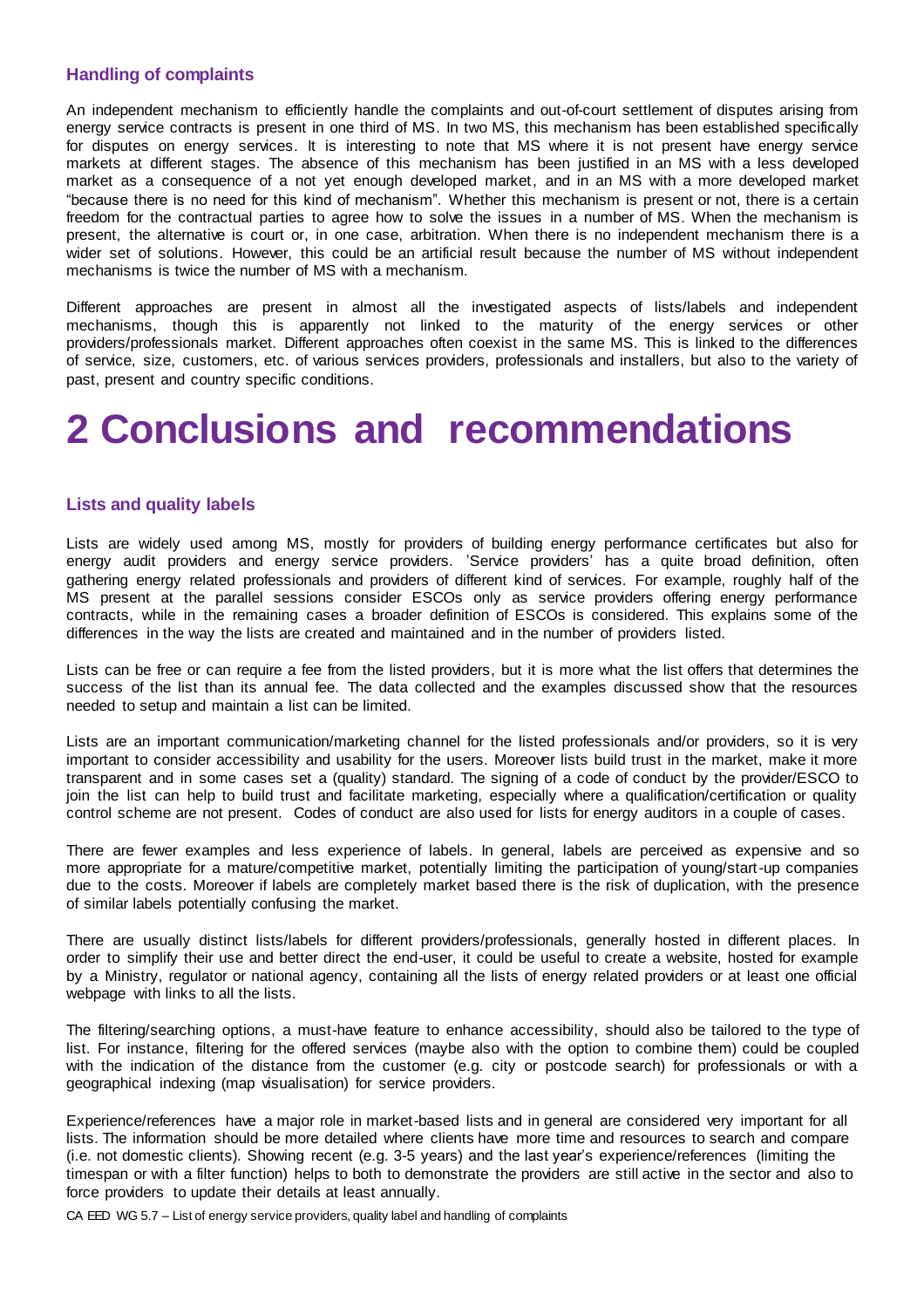#### **Handling of complaints**

An independent mechanism to efficiently handle the complaints and out-of-court settlement of disputes arising from energy service contracts is present in one third of MS. In two MS, this mechanism has been established specifically for disputes on energy services. It is interesting to note that MS where it is not present have energy service markets at different stages. The absence of this mechanism has been justified in an MS with a less developed market as a consequence of a not yet enough developed market, and in an MS with a more developed market "because there is no need for this kind of mechanism". Whether this mechanism is present or not, there is a certain freedom for the contractual parties to agree how to solve the issues in a number of MS. When the mechanism is present, the alternative is court or, in one case, arbitration. When there is no independent mechanism there is a wider set of solutions. However, this could be an artificial result because the number of MS without independent mechanisms is twice the number of MS with a mechanism.

Different approaches are present in almost all the investigated aspects of lists/labels and independent mechanisms, though this is apparently not linked to the maturity of the energy services or other providers/professionals market. Different approaches often coexist in the same MS. This is linked to the differences of service, size, customers, etc. of various services providers, professionals and installers, but also to the variety of past, present and country specific conditions.

### **2 Conclusions and recommendations**

#### **Lists and quality labels**

Lists are widely used among MS, mostly for providers of building energy performance certificates but also for energy audit providers and energy service providers. 'Service providers' has a quite broad definition, often gathering energy related professionals and providers of different kind of services. For example, roughly half of the MS present at the parallel sessions consider ESCOs only as service providers offering energy performance contracts, while in the remaining cases a broader definition of ESCOs is considered. This explains some of the differences in the way the lists are created and maintained and in the number of providers listed.

Lists can be free or can require a fee from the listed providers, but it is more what the list offers that determines the success of the list than its annual fee. The data collected and the examples discussed show that the resources needed to setup and maintain a list can be limited.

Lists are an important communication/marketing channel for the listed professionals and/or providers, so it is very important to consider accessibility and usability for the users. Moreover lists build trust in the market, make it more transparent and in some cases set a (quality) standard. The signing of a code of conduct by the provider/ESCO to join the list can help to build trust and facilitate marketing, especially where a qualification/certification or quality control scheme are not present. Codes of conduct are also used for lists for energy auditors in a couple of cases.

There are fewer examples and less experience of labels. In general, labels are perceived as expensive and so more appropriate for a mature/competitive market, potentially limiting the participation of young/start-up companies due to the costs. Moreover if labels are completely market based there is the risk of duplication, with the presence of similar labels potentially confusing the market.

There are usually distinct lists/labels for different providers/professionals, generally hosted in different places. In order to simplify their use and better direct the end-user, it could be useful to create a website, hosted for example by a Ministry, regulator or national agency, containing all the lists of energy related providers or at least one official webpage with links to all the lists.

The filtering/searching options, a must-have feature to enhance accessibility, should also be tailored to the type of list. For instance, filtering for the offered services (maybe also with the option to combine them) could be coupled with the indication of the distance from the customer (e.g. city or postcode search) for professionals or with a geographical indexing (map visualisation) for service providers.

Experience/references have a major role in market-based lists and in general are considered very important for all lists. The information should be more detailed where clients have more time and resources to search and compare (i.e. not domestic clients). Showing recent (e.g. 3-5 years) and the last year's experience/references (limiting the timespan or with a filter function) helps to both to demonstrate the providers are still active in the sector and also to force providers to update their details at least annually.

CA EED WG 5.7 – List of energy service providers, quality label and handling of complaints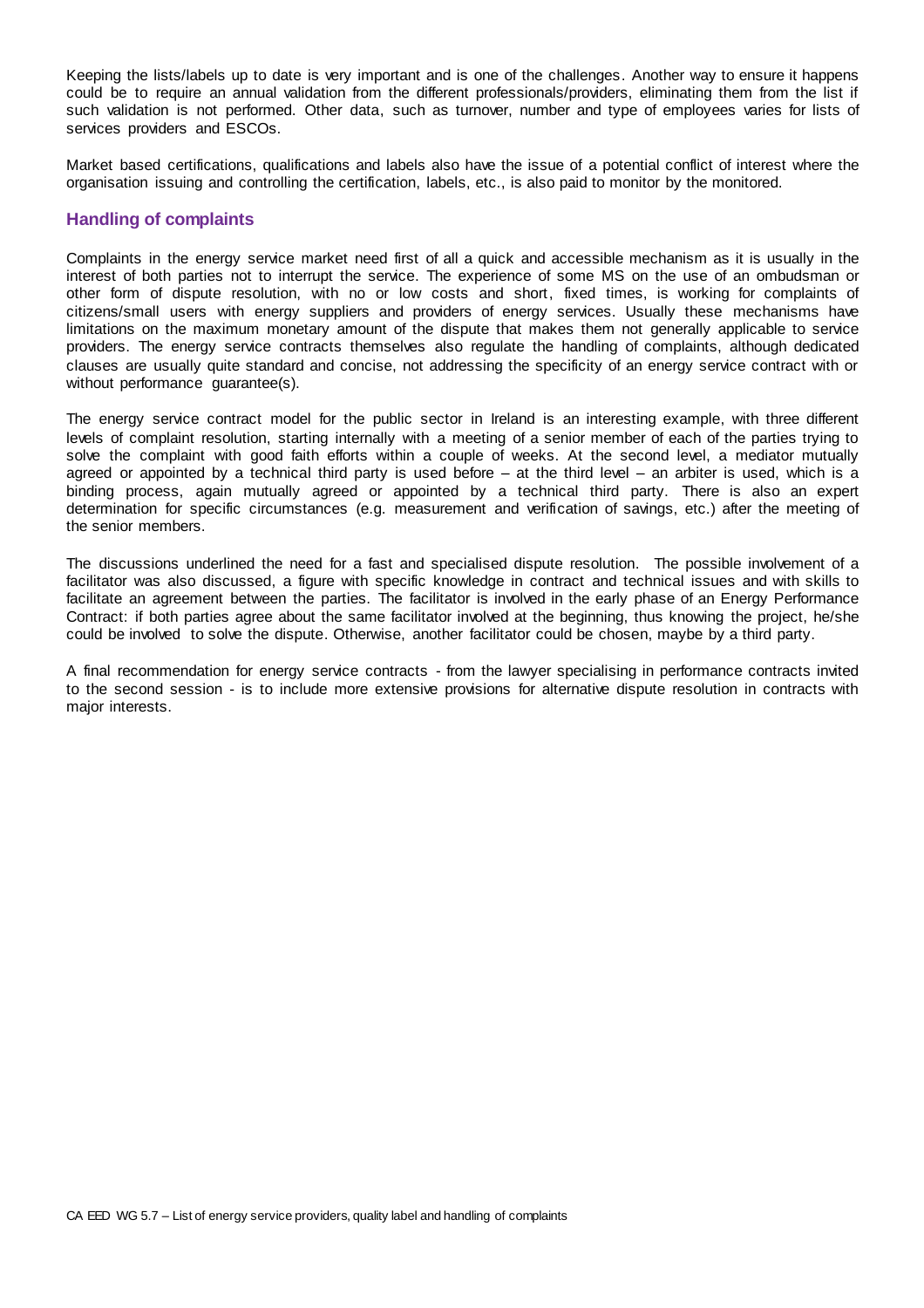Keeping the lists/labels up to date is very important and is one of the challenges. Another way to ensure it happens could be to require an annual validation from the different professionals/providers, eliminating them from the list if such validation is not performed. Other data, such as turnover, number and type of employees varies for lists of services providers and ESCOs.

Market based certifications, qualifications and labels also have the issue of a potential conflict of interest where the organisation issuing and controlling the certification, labels, etc., is also paid to monitor by the monitored.

#### **Handling of complaints**

Complaints in the energy service market need first of all a quick and accessible mechanism as it is usually in the interest of both parties not to interrupt the service. The experience of some MS on the use of an ombudsman or other form of dispute resolution, with no or low costs and short, fixed times, is working for complaints of citizens/small users with energy suppliers and providers of energy services. Usually these mechanisms have limitations on the maximum monetary amount of the dispute that makes them not generally applicable to service providers. The energy service contracts themselves also regulate the handling of complaints, although dedicated clauses are usually quite standard and concise, not addressing the specificity of an energy service contract with or without performance guarantee(s).

The energy service contract model for the public sector in Ireland is an interesting example, with three different levels of complaint resolution, starting internally with a meeting of a senior member of each of the parties trying to solve the complaint with good faith efforts within a couple of weeks. At the second level, a mediator mutually agreed or appointed by a technical third party is used before – at the third level – an arbiter is used, which is a binding process, again mutually agreed or appointed by a technical third party. There is also an expert determination for specific circumstances (e.g. measurement and verification of savings, etc.) after the meeting of the senior members.

The discussions underlined the need for a fast and specialised dispute resolution. The possible involvement of a facilitator was also discussed, a figure with specific knowledge in contract and technical issues and with skills to facilitate an agreement between the parties. The facilitator is involved in the early phase of an Energy Performance Contract: if both parties agree about the same facilitator involved at the beginning, thus knowing the project, he/she could be involved to solve the dispute. Otherwise, another facilitator could be chosen, maybe by a third party.

A final recommendation for energy service contracts - from the lawyer specialising in performance contracts invited to the second session - is to include more extensive provisions for alternative dispute resolution in contracts with major interests.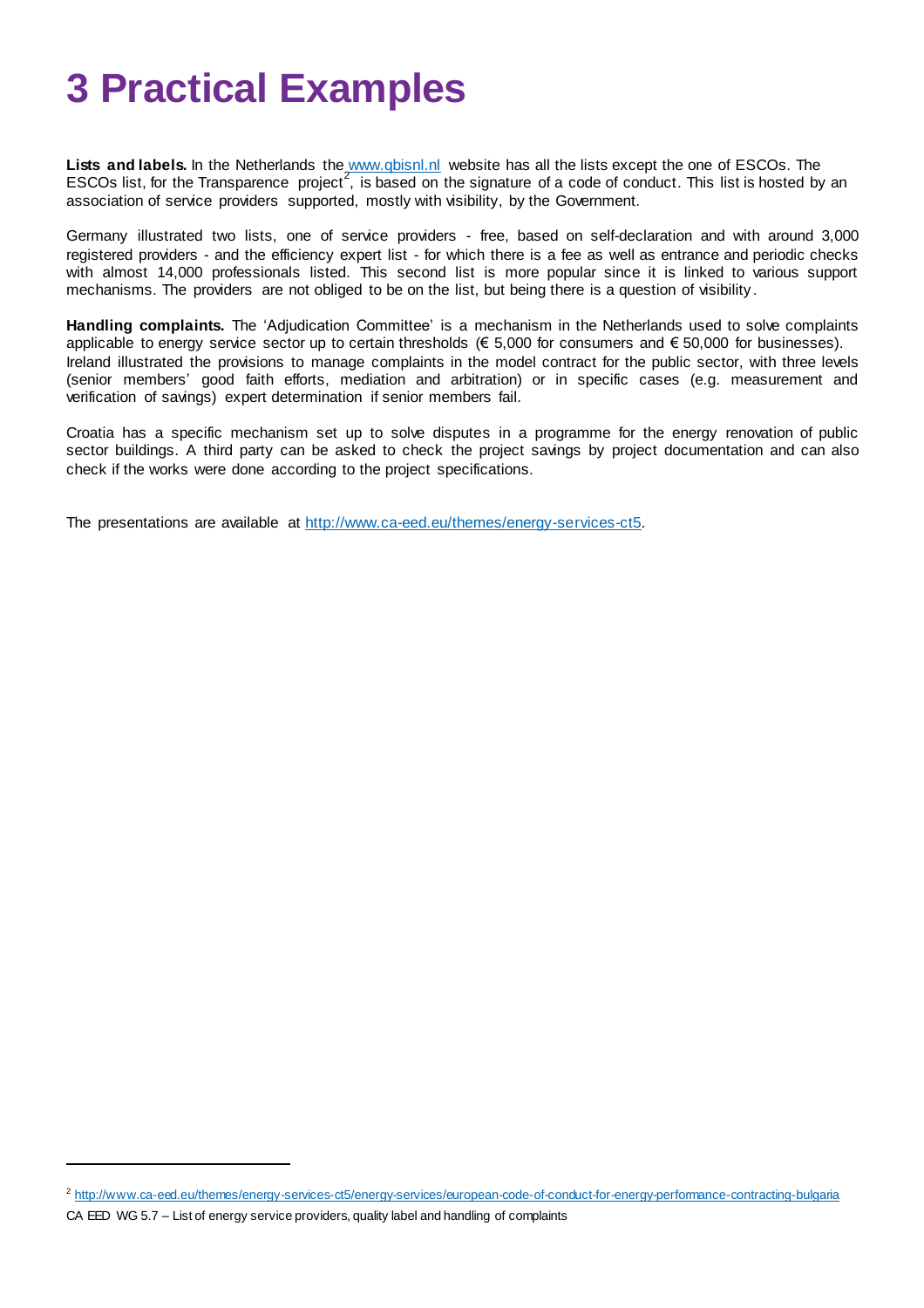## **3 Practical Examples**

**Lists and labels.** In the Netherlands the [www.qbisnl.nl](http://www.qbisnl.nl/) website has all the lists except the one of ESCOs. The ESCOs list, for the Transparence project<sup>2</sup>, is based on the signature of a code of conduct. This list is hosted by an association of service providers supported, mostly with visibility, by the Government.

Germany illustrated two lists, one of service providers - free, based on self-declaration and with around 3,000 registered providers - and the efficiency expert list - for which there is a fee as well as entrance and periodic checks with almost 14,000 professionals listed. This second list is more popular since it is linked to various support mechanisms. The providers are not obliged to be on the list, but being there is a question of visibility .

**Handling complaints.** The 'Adjudication Committee' is a mechanism in the Netherlands used to solve complaints applicable to energy service sector up to certain thresholds ( $\epsilon$  5,000 for consumers and  $\epsilon$  50,000 for businesses). Ireland illustrated the provisions to manage complaints in the model contract for the public sector, with three levels (senior members' good faith efforts, mediation and arbitration) or in specific cases (e.g. measurement and verification of savings) expert determination if senior members fail.

Croatia has a specific mechanism set up to solve disputes in a programme for the energy renovation of public sector buildings. A third party can be asked to check the project savings by project documentation and can also check if the works were done according to the project specifications.

The presentations are available at [http://www.ca-eed.eu/themes/energy-services-ct5.](http://www.ca-eed.eu/themes/energy-services-ct5)

<sup>&</sup>lt;sup>2</sup> <http://www.ca-eed.eu/themes/energy-services-ct5/energy-services/european-code-of-conduct-for-energy-performance-contracting-bulgaria>

CA EED WG 5.7 – List of energy service providers, quality label and handling of complaints